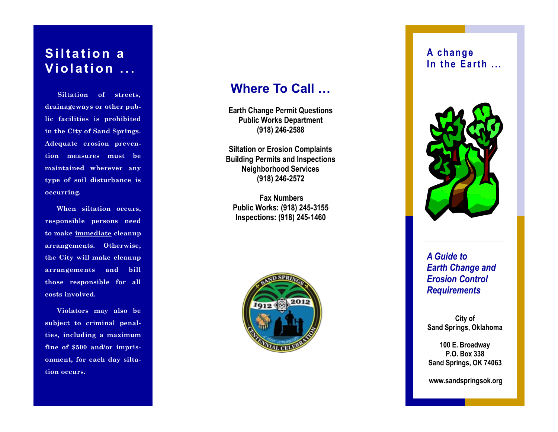### **Siltation a Vi ol at i on . . .**

 **Siltation of streets, drainageways or other public facilities is prohibited in the City of Sand Springs. Adequate erosion prevention measures must be maintained wherever any type of soil disturbance is occurring.**

 **When siltation occurs, responsible persons need to make immediate cleanup arrangements. Otherwise, the City will make cleanup arrangements and bill those responsible for all costs involved.**

 **Violators may also be subject to criminal penalties, including a maximum fine of \$500 and/or imprisonment, for each day siltation occurs.**

### **Where To Call …**

**Earth Change Permit Questions Public Works Department (918) 246 -2588**

**Siltation or Erosion Complaints Building Permits and Inspections Neighborhood Services (918) 246 -2572**

**Fax Numbers Public Works: (918) 245 -3155 Inspections: (918) 245 -1460**



#### **A c h a n g e In the Earth ...**



*A Guide to Earth Change and Erosion Control Requirements*

**City of Sand Springs, Oklahoma**

**100 E. Broadway P.O. Box 338 Sand Springs, OK 74063**

**www.sandspringsok.org**